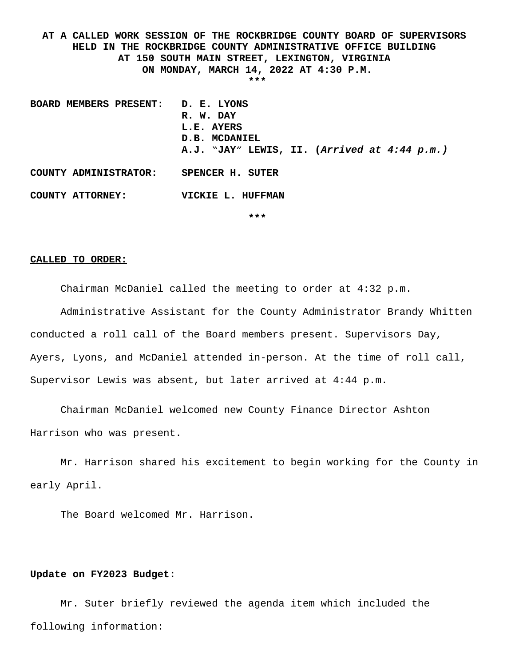**AT A CALLED WORK SESSION OF THE ROCKBRIDGE COUNTY BOARD OF SUPERVISORS HELD IN THE ROCKBRIDGE COUNTY ADMINISTRATIVE OFFICE BUILDING AT 150 SOUTH MAIN STREET, LEXINGTON, VIRGINIA ON MONDAY, MARCH 14, 2022 AT 4:30 P.M. \*\*\***

**BOARD MEMBERS PRESENT: D. E. LYONS R. W. DAY L.E. AYERS D.B. MCDANIEL A.J. "JAY" LEWIS, II. (***Arrived at 4:44 p.m.)* **COUNTY ADMINISTRATOR: SPENCER H. SUTER COUNTY ATTORNEY: VICKIE L. HUFFMAN**

**\*\*\***

#### **CALLED TO ORDER:**

Chairman McDaniel called the meeting to order at 4:32 p.m.

Administrative Assistant for the County Administrator Brandy Whitten conducted a roll call of the Board members present. Supervisors Day, Ayers, Lyons, and McDaniel attended in-person. At the time of roll call, Supervisor Lewis was absent, but later arrived at 4:44 p.m.

Chairman McDaniel welcomed new County Finance Director Ashton Harrison who was present.

Mr. Harrison shared his excitement to begin working for the County in early April.

The Board welcomed Mr. Harrison.

## **Update on FY2023 Budget:**

Mr. Suter briefly reviewed the agenda item which included the following information: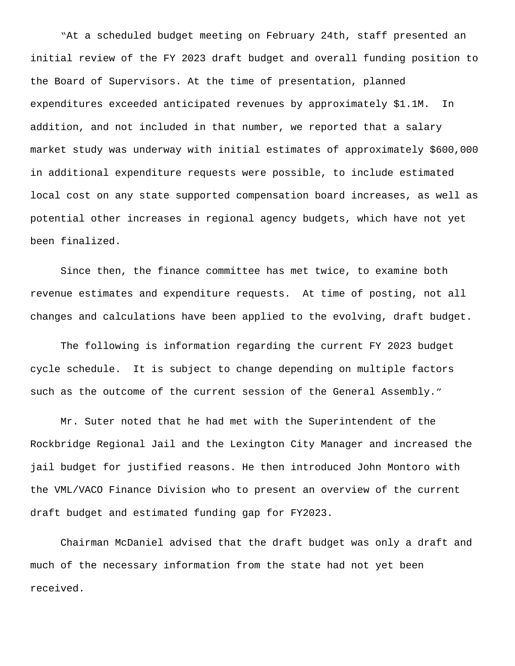"At a scheduled budget meeting on February 24th, staff presented an initial review of the FY 2023 draft budget and overall funding position to the Board of Supervisors. At the time of presentation, planned expenditures exceeded anticipated revenues by approximately \$1.1M. In addition, and not included in that number, we reported that a salary market study was underway with initial estimates of approximately \$600,000 in additional expenditure requests were possible, to include estimated local cost on any state supported compensation board increases, as well as potential other increases in regional agency budgets, which have not yet been finalized.

 Since then, the finance committee has met twice, to examine both revenue estimates and expenditure requests. At time of posting, not all changes and calculations have been applied to the evolving, draft budget.

 The following is information regarding the current FY 2023 budget cycle schedule. It is subject to change depending on multiple factors such as the outcome of the current session of the General Assembly."

 Mr. Suter noted that he had met with the Superintendent of the Rockbridge Regional Jail and the Lexington City Manager and increased the jail budget for justified reasons. He then introduced John Montoro with the VML/VACO Finance Division who to present an overview of the current draft budget and estimated funding gap for FY2023.

Chairman McDaniel advised that the draft budget was only a draft and much of the necessary information from the state had not yet been received.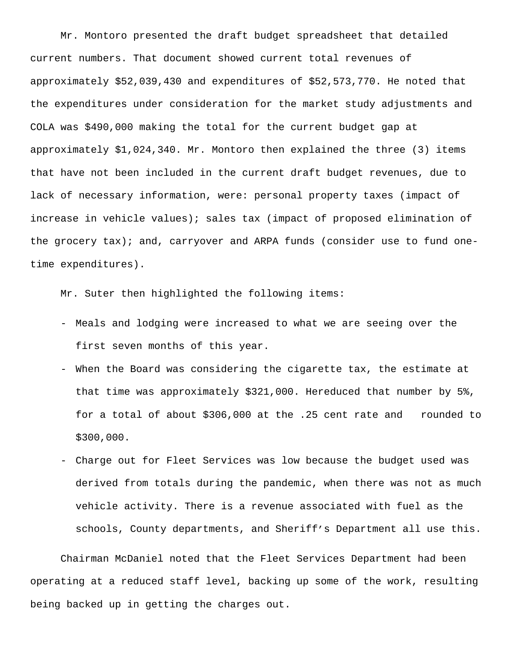Mr. Montoro presented the draft budget spreadsheet that detailed current numbers. That document showed current total revenues of approximately \$52,039,430 and expenditures of \$52,573,770. He noted that the expenditures under consideration for the market study adjustments and COLA was \$490,000 making the total for the current budget gap at approximately \$1,024,340. Mr. Montoro then explained the three (3) items that have not been included in the current draft budget revenues, due to lack of necessary information, were: personal property taxes (impact of increase in vehicle values); sales tax (impact of proposed elimination of the grocery  $\text{tax}$ ; and, carryover and ARPA funds (consider use to fund onetime expenditures).

Mr. Suter then highlighted the following items:

- Meals and lodging were increased to what we are seeing over the first seven months of this year.
- When the Board was considering the cigarette tax, the estimate at that time was approximately \$321,000. Hereduced that number by 5%, for a total of about \$306,000 at the .25 cent rate and rounded to \$300,000.
- Charge out for Fleet Services was low because the budget used was derived from totals during the pandemic, when there was not as much vehicle activity. There is a revenue associated with fuel as the schools, County departments, and Sheriff's Department all use this.

Chairman McDaniel noted that the Fleet Services Department had been operating at a reduced staff level, backing up some of the work, resulting being backed up in getting the charges out.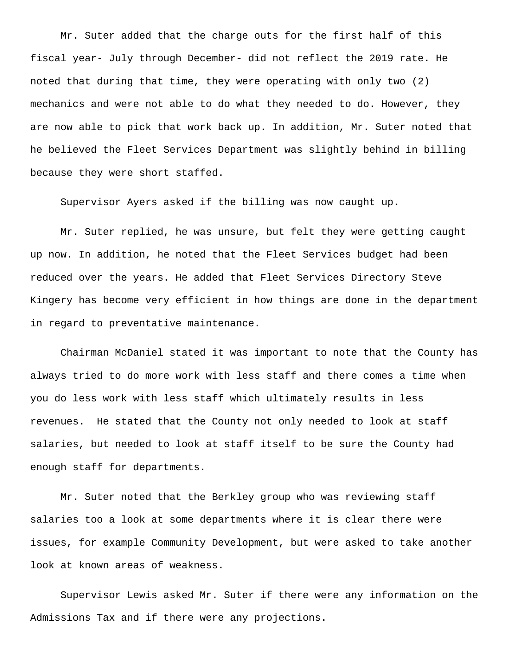Mr. Suter added that the charge outs for the first half of this fiscal year- July through December- did not reflect the 2019 rate. He noted that during that time, they were operating with only two (2) mechanics and were not able to do what they needed to do. However, they are now able to pick that work back up. In addition, Mr. Suter noted that he believed the Fleet Services Department was slightly behind in billing because they were short staffed.

Supervisor Ayers asked if the billing was now caught up.

Mr. Suter replied, he was unsure, but felt they were getting caught up now. In addition, he noted that the Fleet Services budget had been reduced over the years. He added that Fleet Services Directory Steve Kingery has become very efficient in how things are done in the department in regard to preventative maintenance.

Chairman McDaniel stated it was important to note that the County has always tried to do more work with less staff and there comes a time when you do less work with less staff which ultimately results in less revenues. He stated that the County not only needed to look at staff salaries, but needed to look at staff itself to be sure the County had enough staff for departments.

Mr. Suter noted that the Berkley group who was reviewing staff salaries too a look at some departments where it is clear there were issues, for example Community Development, but were asked to take another look at known areas of weakness.

Supervisor Lewis asked Mr. Suter if there were any information on the Admissions Tax and if there were any projections.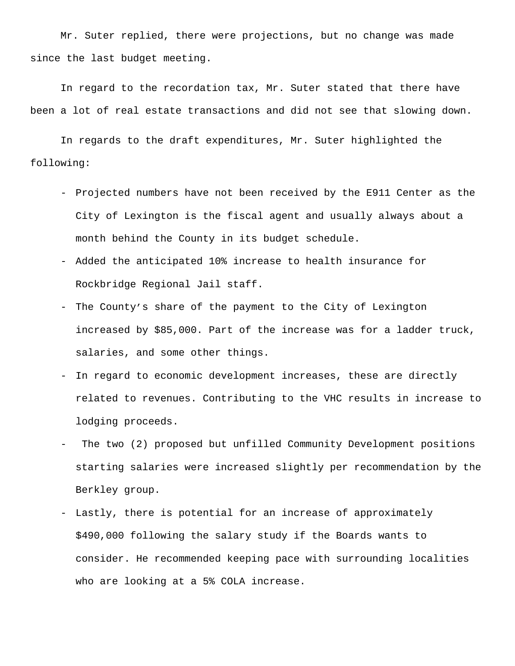Mr. Suter replied, there were projections, but no change was made since the last budget meeting.

In regard to the recordation tax, Mr. Suter stated that there have been a lot of real estate transactions and did not see that slowing down.

In regards to the draft expenditures, Mr. Suter highlighted the following:

- Projected numbers have not been received by the E911 Center as the City of Lexington is the fiscal agent and usually always about a month behind the County in its budget schedule.
- Added the anticipated 10% increase to health insurance for Rockbridge Regional Jail staff.
- The County's share of the payment to the City of Lexington increased by \$85,000. Part of the increase was for a ladder truck, salaries, and some other things.
- In regard to economic development increases, these are directly related to revenues. Contributing to the VHC results in increase to lodging proceeds.
- The two (2) proposed but unfilled Community Development positions starting salaries were increased slightly per recommendation by the Berkley group.
- Lastly, there is potential for an increase of approximately \$490,000 following the salary study if the Boards wants to consider. He recommended keeping pace with surrounding localities who are looking at a 5% COLA increase.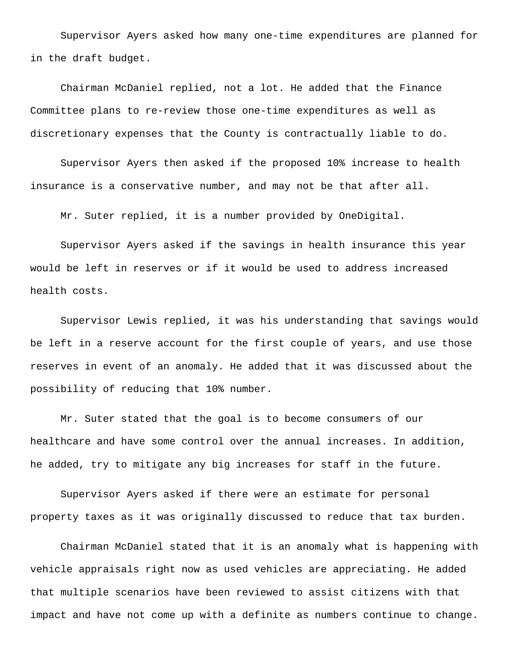Supervisor Ayers asked how many one-time expenditures are planned for in the draft budget.

Chairman McDaniel replied, not a lot. He added that the Finance Committee plans to re-review those one-time expenditures as well as discretionary expenses that the County is contractually liable to do.

Supervisor Ayers then asked if the proposed 10% increase to health insurance is a conservative number, and may not be that after all.

Mr. Suter replied, it is a number provided by OneDigital.

Supervisor Ayers asked if the savings in health insurance this year would be left in reserves or if it would be used to address increased health costs.

Supervisor Lewis replied, it was his understanding that savings would be left in a reserve account for the first couple of years, and use those reserves in event of an anomaly. He added that it was discussed about the possibility of reducing that 10% number.

Mr. Suter stated that the goal is to become consumers of our healthcare and have some control over the annual increases. In addition, he added, try to mitigate any big increases for staff in the future.

Supervisor Ayers asked if there were an estimate for personal property taxes as it was originally discussed to reduce that tax burden.

Chairman McDaniel stated that it is an anomaly what is happening with vehicle appraisals right now as used vehicles are appreciating. He added that multiple scenarios have been reviewed to assist citizens with that impact and have not come up with a definite as numbers continue to change.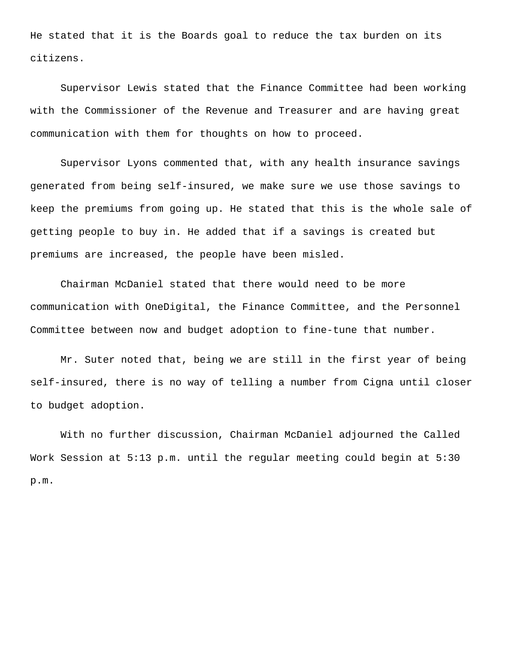He stated that it is the Boards goal to reduce the tax burden on its citizens.

Supervisor Lewis stated that the Finance Committee had been working with the Commissioner of the Revenue and Treasurer and are having great communication with them for thoughts on how to proceed.

Supervisor Lyons commented that, with any health insurance savings generated from being self-insured, we make sure we use those savings to keep the premiums from going up. He stated that this is the whole sale of getting people to buy in. He added that if a savings is created but premiums are increased, the people have been misled.

Chairman McDaniel stated that there would need to be more communication with OneDigital, the Finance Committee, and the Personnel Committee between now and budget adoption to fine-tune that number.

Mr. Suter noted that, being we are still in the first year of being self-insured, there is no way of telling a number from Cigna until closer to budget adoption.

With no further discussion, Chairman McDaniel adjourned the Called Work Session at 5:13 p.m. until the regular meeting could begin at 5:30 p.m.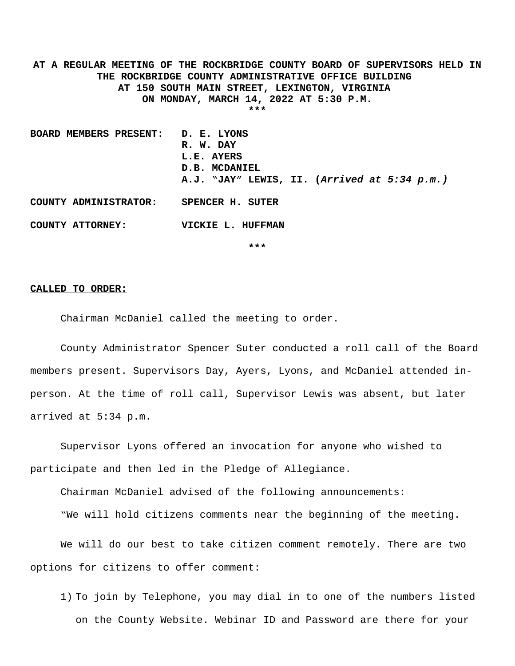**AT A REGULAR MEETING OF THE ROCKBRIDGE COUNTY BOARD OF SUPERVISORS HELD IN THE ROCKBRIDGE COUNTY ADMINISTRATIVE OFFICE BUILDING AT 150 SOUTH MAIN STREET, LEXINGTON, VIRGINIA ON MONDAY, MARCH 14, 2022 AT 5:30 P.M. \*\*\***

**BOARD MEMBERS PRESENT: D. E. LYONS R. W. DAY L.E. AYERS D.B. MCDANIEL A.J. "JAY" LEWIS, II. (***Arrived at 5:34 p.m.)* **COUNTY ADMINISTRATOR: SPENCER H. SUTER**

**COUNTY ATTORNEY: VICKIE L. HUFFMAN**

**\*\*\***

#### **CALLED TO ORDER:**

Chairman McDaniel called the meeting to order.

County Administrator Spencer Suter conducted a roll call of the Board members present. Supervisors Day, Ayers, Lyons, and McDaniel attended inperson. At the time of roll call, Supervisor Lewis was absent, but later arrived at 5:34 p.m.

Supervisor Lyons offered an invocation for anyone who wished to participate and then led in the Pledge of Allegiance.

Chairman McDaniel advised of the following announcements:

"We will hold citizens comments near the beginning of the meeting.

We will do our best to take citizen comment remotely. There are two options for citizens to offer comment:

1) To join by Telephone, you may dial in to one of the numbers listed on the County Website. Webinar ID and Password are there for your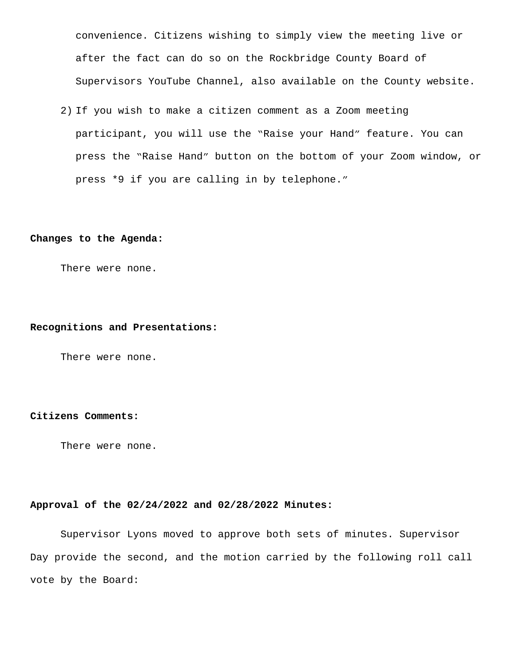convenience. Citizens wishing to simply view the meeting live or after the fact can do so on the Rockbridge County Board of Supervisors YouTube Channel, also available on the County website.

2) If you wish to make a citizen comment as a Zoom meeting participant, you will use the "Raise your Hand" feature. You can press the "Raise Hand" button on the bottom of your Zoom window, or press \*9 if you are calling in by telephone."

#### **Changes to the Agenda:**

There were none.

#### **Recognitions and Presentations:**

There were none.

## **Citizens Comments:**

There were none.

## **Approval of the 02/24/2022 and 02/28/2022 Minutes:**

Supervisor Lyons moved to approve both sets of minutes. Supervisor Day provide the second, and the motion carried by the following roll call vote by the Board: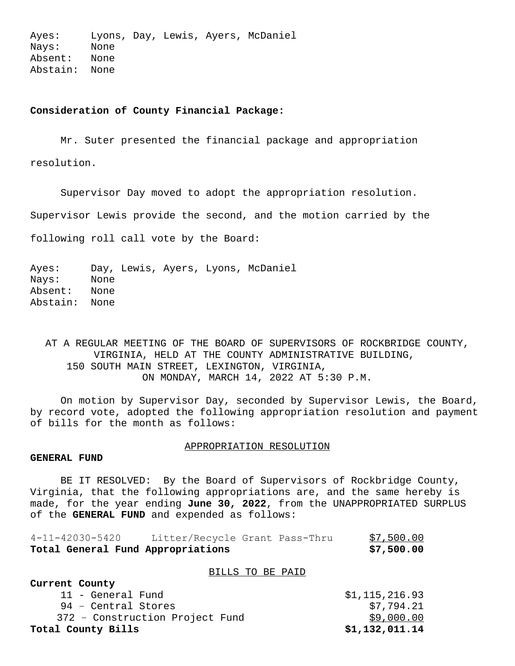Ayes: Lyons, Day, Lewis, Ayers, McDaniel Nays: None Absent: None Abstain: None

# **Consideration of County Financial Package:**

Mr. Suter presented the financial package and appropriation resolution.

Supervisor Day moved to adopt the appropriation resolution.

Supervisor Lewis provide the second, and the motion carried by the

following roll call vote by the Board:

Ayes: Day, Lewis, Ayers, Lyons, McDaniel Nays: None Absent: None Abstain: None

AT A REGULAR MEETING OF THE BOARD OF SUPERVISORS OF ROCKBRIDGE COUNTY, VIRGINIA, HELD AT THE COUNTY ADMINISTRATIVE BUILDING, 150 SOUTH MAIN STREET, LEXINGTON, VIRGINIA, ON MONDAY, MARCH 14, 2022 AT 5:30 P.M.

On motion by Supervisor Day, seconded by Supervisor Lewis, the Board, by record vote, adopted the following appropriation resolution and payment of bills for the month as follows:

#### APPROPRIATION RESOLUTION

## **GENERAL FUND**

BE IT RESOLVED: By the Board of Supervisors of Rockbridge County, Virginia, that the following appropriations are, and the same hereby is made, for the year ending **June 30, 2022**, from the UNAPPROPRIATED SURPLUS of the **GENERAL FUND** and expended as follows:

| Total General Fund Appropriations |                                |  | \$7,500.00 |
|-----------------------------------|--------------------------------|--|------------|
| 4-11-42030-5420                   | Litter/Recycle Grant Pass-Thru |  | \$7,500.00 |

#### BILLS TO BE PAID

| Current County                  |                |
|---------------------------------|----------------|
| 11 - General Fund               | \$1,115,216.93 |
| 94 - Central Stores             | \$7,794.21     |
| 372 - Construction Project Fund | \$9,000.00     |
| Total County Bills              | \$1,132,011.14 |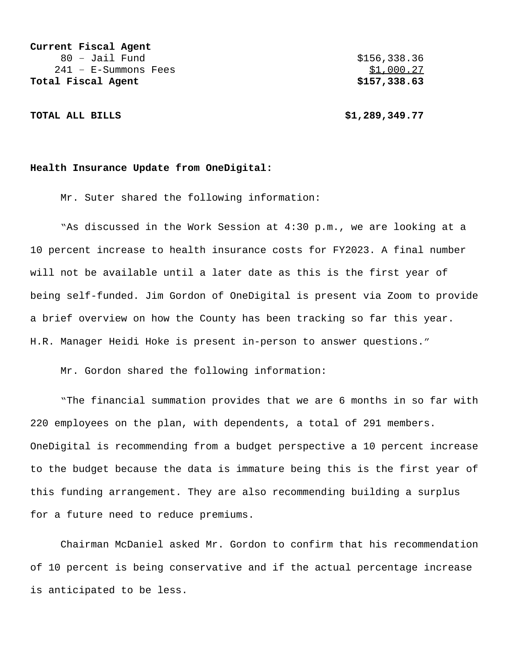**Current Fiscal Agent** 80 – Jail Fund \$156,338.36 241 - E-Summons Fees \$1,000.27 **Total Fiscal Agent \$157,338.63**

**TOTAL ALL BILLS \$1,289,349.77**

#### **Health Insurance Update from OneDigital:**

Mr. Suter shared the following information:

"As discussed in the Work Session at 4:30 p.m., we are looking at a 10 percent increase to health insurance costs for FY2023. A final number will not be available until a later date as this is the first year of being self-funded. Jim Gordon of OneDigital is present via Zoom to provide a brief overview on how the County has been tracking so far this year. H.R. Manager Heidi Hoke is present in-person to answer questions."

Mr. Gordon shared the following information:

"The financial summation provides that we are 6 months in so far with 220 employees on the plan, with dependents, a total of 291 members. OneDigital is recommending from a budget perspective a 10 percent increase to the budget because the data is immature being this is the first year of this funding arrangement. They are also recommending building a surplus for a future need to reduce premiums.

Chairman McDaniel asked Mr. Gordon to confirm that his recommendation of 10 percent is being conservative and if the actual percentage increase is anticipated to be less.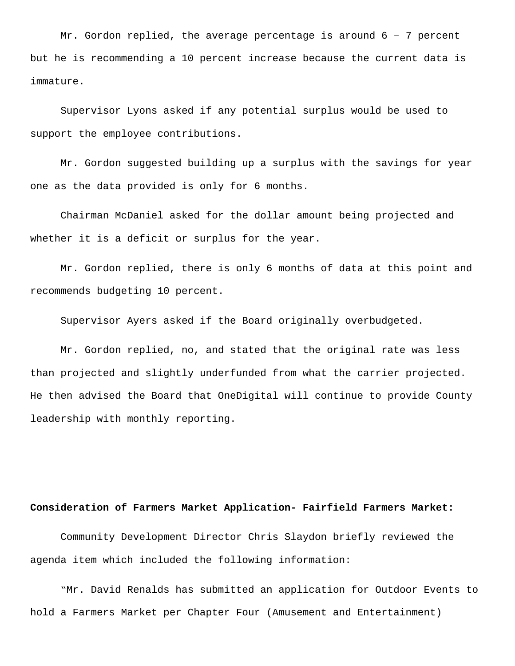Mr. Gordon replied, the average percentage is around  $6 - 7$  percent but he is recommending a 10 percent increase because the current data is immature.

Supervisor Lyons asked if any potential surplus would be used to support the employee contributions.

Mr. Gordon suggested building up a surplus with the savings for year one as the data provided is only for 6 months.

Chairman McDaniel asked for the dollar amount being projected and whether it is a deficit or surplus for the year.

Mr. Gordon replied, there is only 6 months of data at this point and recommends budgeting 10 percent.

Supervisor Ayers asked if the Board originally overbudgeted.

Mr. Gordon replied, no, and stated that the original rate was less than projected and slightly underfunded from what the carrier projected. He then advised the Board that OneDigital will continue to provide County leadership with monthly reporting.

#### **Consideration of Farmers Market Application- Fairfield Farmers Market:**

Community Development Director Chris Slaydon briefly reviewed the agenda item which included the following information:

"Mr. David Renalds has submitted an application for Outdoor Events to hold a Farmers Market per Chapter Four (Amusement and Entertainment)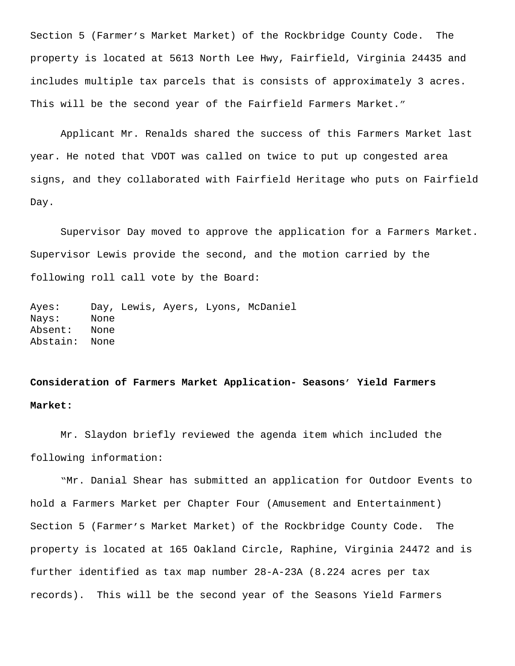Section 5 (Farmer's Market Market) of the Rockbridge County Code. The property is located at 5613 North Lee Hwy, Fairfield, Virginia 24435 and includes multiple tax parcels that is consists of approximately 3 acres. This will be the second year of the Fairfield Farmers Market."

Applicant Mr. Renalds shared the success of this Farmers Market last year. He noted that VDOT was called on twice to put up congested area signs, and they collaborated with Fairfield Heritage who puts on Fairfield Day.

Supervisor Day moved to approve the application for a Farmers Market. Supervisor Lewis provide the second, and the motion carried by the following roll call vote by the Board:

Ayes: Day, Lewis, Ayers, Lyons, McDaniel Nays: None Absent: None Abstain: None

# **Consideration of Farmers Market Application- Seasons' Yield Farmers Market:**

Mr. Slaydon briefly reviewed the agenda item which included the following information:

 "Mr. Danial Shear has submitted an application for Outdoor Events to hold a Farmers Market per Chapter Four (Amusement and Entertainment) Section 5 (Farmer's Market Market) of the Rockbridge County Code. The property is located at 165 Oakland Circle, Raphine, Virginia 24472 and is further identified as tax map number 28-A-23A (8.224 acres per tax records). This will be the second year of the Seasons Yield Farmers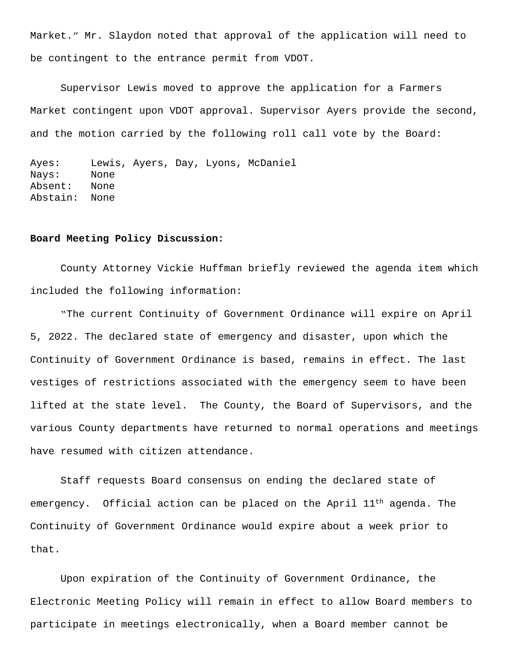Market." Mr. Slaydon noted that approval of the application will need to be contingent to the entrance permit from VDOT.

Supervisor Lewis moved to approve the application for a Farmers Market contingent upon VDOT approval. Supervisor Ayers provide the second, and the motion carried by the following roll call vote by the Board:

```
Ayes: Lewis, Ayers, Day, Lyons, McDaniel 
Nays: None
Absent: None
Abstain: None
```
## **Board Meeting Policy Discussion:**

County Attorney Vickie Huffman briefly reviewed the agenda item which included the following information:

 "The current Continuity of Government Ordinance will expire on April 5, 2022. The declared state of emergency and disaster, upon which the Continuity of Government Ordinance is based, remains in effect. The last vestiges of restrictions associated with the emergency seem to have been lifted at the state level. The County, the Board of Supervisors, and the various County departments have returned to normal operations and meetings have resumed with citizen attendance.

Staff requests Board consensus on ending the declared state of emergency. Official action can be placed on the April  $11<sup>th</sup>$  agenda. The Continuity of Government Ordinance would expire about a week prior to that.

Upon expiration of the Continuity of Government Ordinance, the Electronic Meeting Policy will remain in effect to allow Board members to participate in meetings electronically, when a Board member cannot be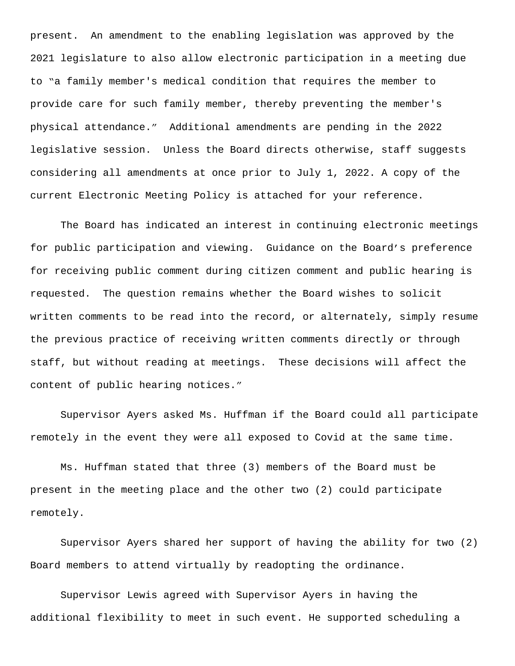present. An amendment to the enabling legislation was approved by the 2021 legislature to also allow electronic participation in a meeting due to "a family member's medical condition that requires the member to provide care for such family member, thereby preventing the member's physical attendance." Additional amendments are pending in the 2022 legislative session. Unless the Board directs otherwise, staff suggests considering all amendments at once prior to July 1, 2022. A copy of the current Electronic Meeting Policy is attached for your reference.

The Board has indicated an interest in continuing electronic meetings for public participation and viewing. Guidance on the Board's preference for receiving public comment during citizen comment and public hearing is requested. The question remains whether the Board wishes to solicit written comments to be read into the record, or alternately, simply resume the previous practice of receiving written comments directly or through staff, but without reading at meetings. These decisions will affect the content of public hearing notices."

Supervisor Ayers asked Ms. Huffman if the Board could all participate remotely in the event they were all exposed to Covid at the same time.

Ms. Huffman stated that three (3) members of the Board must be present in the meeting place and the other two (2) could participate remotely.

Supervisor Ayers shared her support of having the ability for two (2) Board members to attend virtually by readopting the ordinance.

Supervisor Lewis agreed with Supervisor Ayers in having the additional flexibility to meet in such event. He supported scheduling a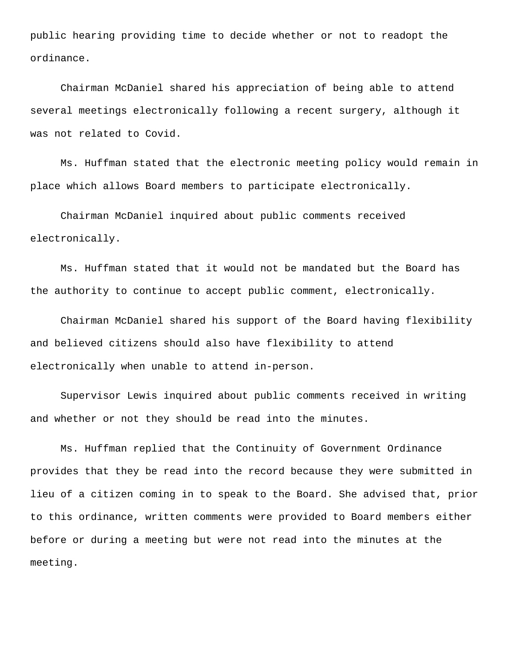public hearing providing time to decide whether or not to readopt the ordinance.

Chairman McDaniel shared his appreciation of being able to attend several meetings electronically following a recent surgery, although it was not related to Covid.

Ms. Huffman stated that the electronic meeting policy would remain in place which allows Board members to participate electronically.

Chairman McDaniel inquired about public comments received electronically.

Ms. Huffman stated that it would not be mandated but the Board has the authority to continue to accept public comment, electronically.

Chairman McDaniel shared his support of the Board having flexibility and believed citizens should also have flexibility to attend electronically when unable to attend in-person.

Supervisor Lewis inquired about public comments received in writing and whether or not they should be read into the minutes.

Ms. Huffman replied that the Continuity of Government Ordinance provides that they be read into the record because they were submitted in lieu of a citizen coming in to speak to the Board. She advised that, prior to this ordinance, written comments were provided to Board members either before or during a meeting but were not read into the minutes at the meeting.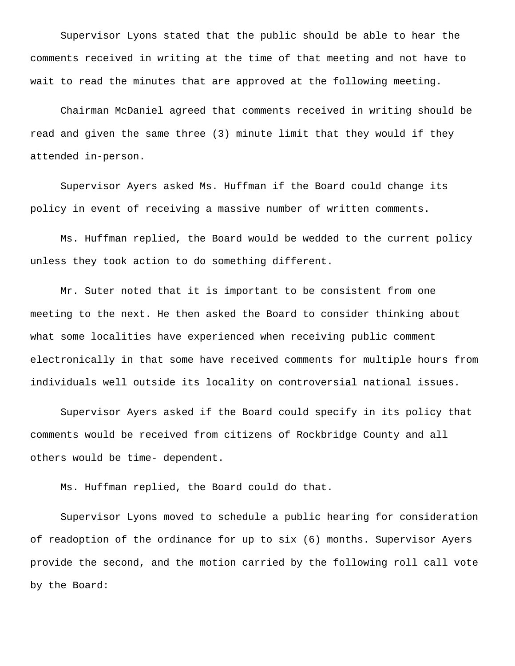Supervisor Lyons stated that the public should be able to hear the comments received in writing at the time of that meeting and not have to wait to read the minutes that are approved at the following meeting.

Chairman McDaniel agreed that comments received in writing should be read and given the same three (3) minute limit that they would if they attended in-person.

Supervisor Ayers asked Ms. Huffman if the Board could change its policy in event of receiving a massive number of written comments.

Ms. Huffman replied, the Board would be wedded to the current policy unless they took action to do something different.

Mr. Suter noted that it is important to be consistent from one meeting to the next. He then asked the Board to consider thinking about what some localities have experienced when receiving public comment electronically in that some have received comments for multiple hours from individuals well outside its locality on controversial national issues.

Supervisor Ayers asked if the Board could specify in its policy that comments would be received from citizens of Rockbridge County and all others would be time- dependent.

Ms. Huffman replied, the Board could do that.

Supervisor Lyons moved to schedule a public hearing for consideration of readoption of the ordinance for up to six (6) months. Supervisor Ayers provide the second, and the motion carried by the following roll call vote by the Board: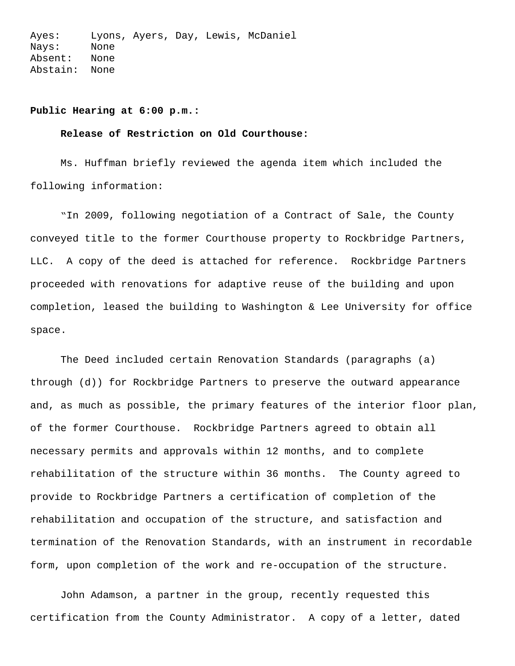Ayes: Lyons, Ayers, Day, Lewis, McDaniel Nays: None Absent: None Abstain: None

## **Public Hearing at 6:00 p.m.:**

## **Release of Restriction on Old Courthouse:**

Ms. Huffman briefly reviewed the agenda item which included the following information:

"In 2009, following negotiation of a Contract of Sale, the County conveyed title to the former Courthouse property to Rockbridge Partners, LLC. A copy of the deed is attached for reference. Rockbridge Partners proceeded with renovations for adaptive reuse of the building and upon completion, leased the building to Washington & Lee University for office space.

The Deed included certain Renovation Standards (paragraphs (a) through (d)) for Rockbridge Partners to preserve the outward appearance and, as much as possible, the primary features of the interior floor plan, of the former Courthouse. Rockbridge Partners agreed to obtain all necessary permits and approvals within 12 months, and to complete rehabilitation of the structure within 36 months. The County agreed to provide to Rockbridge Partners a certification of completion of the rehabilitation and occupation of the structure, and satisfaction and termination of the Renovation Standards, with an instrument in recordable form, upon completion of the work and re-occupation of the structure.

John Adamson, a partner in the group, recently requested this certification from the County Administrator. A copy of a letter, dated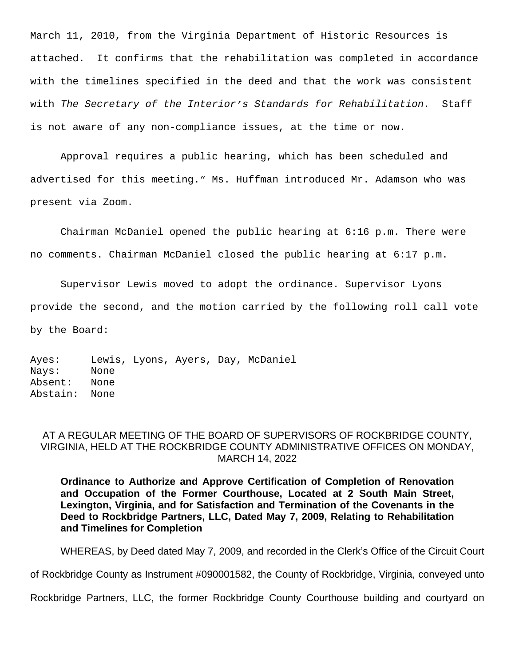March 11, 2010, from the Virginia Department of Historic Resources is attached. It confirms that the rehabilitation was completed in accordance with the timelines specified in the deed and that the work was consistent with *The Secretary of the Interior's Standards for Rehabilitation.* Staff is not aware of any non-compliance issues, at the time or now.

Approval requires a public hearing, which has been scheduled and advertised for this meeting." Ms. Huffman introduced Mr. Adamson who was present via Zoom.

Chairman McDaniel opened the public hearing at 6:16 p.m. There were no comments. Chairman McDaniel closed the public hearing at 6:17 p.m.

Supervisor Lewis moved to adopt the ordinance. Supervisor Lyons provide the second, and the motion carried by the following roll call vote by the Board:

Ayes: Lewis, Lyons, Ayers, Day, McDaniel Nays: None Absent: None Abstain: None

# AT A REGULAR MEETING OF THE BOARD OF SUPERVISORS OF ROCKBRIDGE COUNTY, VIRGINIA, HELD AT THE ROCKBRIDGE COUNTY ADMINISTRATIVE OFFICES ON MONDAY, MARCH 14, 2022

**Ordinance to Authorize and Approve Certification of Completion of Renovation and Occupation of the Former Courthouse, Located at 2 South Main Street, Lexington, Virginia, and for Satisfaction and Termination of the Covenants in the Deed to Rockbridge Partners, LLC, Dated May 7, 2009, Relating to Rehabilitation and Timelines for Completion**

WHEREAS, by Deed dated May 7, 2009, and recorded in the Clerk's Office of the Circuit Court

of Rockbridge County as Instrument #090001582, the County of Rockbridge, Virginia, conveyed unto

Rockbridge Partners, LLC, the former Rockbridge County Courthouse building and courtyard on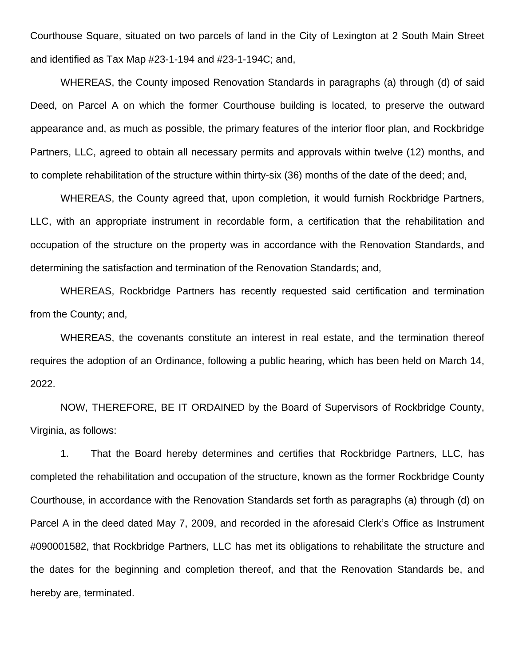Courthouse Square, situated on two parcels of land in the City of Lexington at 2 South Main Street and identified as Tax Map #23-1-194 and #23-1-194C; and,

WHEREAS, the County imposed Renovation Standards in paragraphs (a) through (d) of said Deed, on Parcel A on which the former Courthouse building is located, to preserve the outward appearance and, as much as possible, the primary features of the interior floor plan, and Rockbridge Partners, LLC, agreed to obtain all necessary permits and approvals within twelve (12) months, and to complete rehabilitation of the structure within thirty-six (36) months of the date of the deed; and,

WHEREAS, the County agreed that, upon completion, it would furnish Rockbridge Partners, LLC, with an appropriate instrument in recordable form, a certification that the rehabilitation and occupation of the structure on the property was in accordance with the Renovation Standards, and determining the satisfaction and termination of the Renovation Standards; and,

WHEREAS, Rockbridge Partners has recently requested said certification and termination from the County; and,

WHEREAS, the covenants constitute an interest in real estate, and the termination thereof requires the adoption of an Ordinance, following a public hearing, which has been held on March 14, 2022.

NOW, THEREFORE, BE IT ORDAINED by the Board of Supervisors of Rockbridge County, Virginia, as follows:

1. That the Board hereby determines and certifies that Rockbridge Partners, LLC, has completed the rehabilitation and occupation of the structure, known as the former Rockbridge County Courthouse, in accordance with the Renovation Standards set forth as paragraphs (a) through (d) on Parcel A in the deed dated May 7, 2009, and recorded in the aforesaid Clerk's Office as Instrument #090001582, that Rockbridge Partners, LLC has met its obligations to rehabilitate the structure and the dates for the beginning and completion thereof, and that the Renovation Standards be, and hereby are, terminated.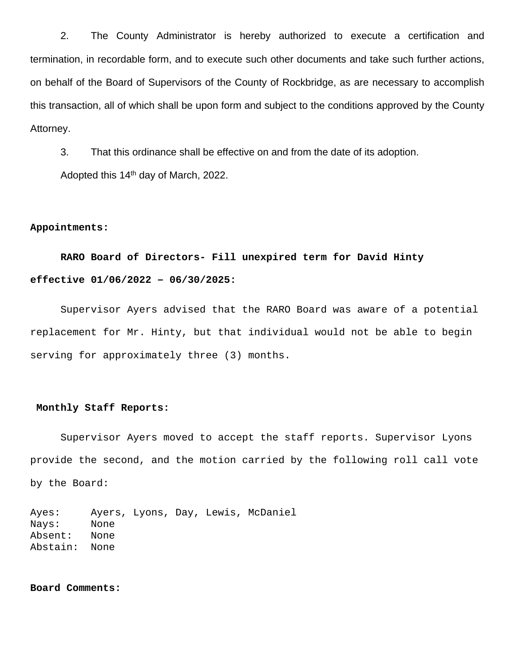2. The County Administrator is hereby authorized to execute a certification and termination, in recordable form, and to execute such other documents and take such further actions, on behalf of the Board of Supervisors of the County of Rockbridge, as are necessary to accomplish this transaction, all of which shall be upon form and subject to the conditions approved by the County Attorney.

3. That this ordinance shall be effective on and from the date of its adoption.

Adopted this 14th day of March, 2022.

## **Appointments:**

# **RARO Board of Directors- Fill unexpired term for David Hinty effective 01/06/2022 – 06/30/2025:**

Supervisor Ayers advised that the RARO Board was aware of a potential replacement for Mr. Hinty, but that individual would not be able to begin serving for approximately three (3) months.

## **Monthly Staff Reports:**

Supervisor Ayers moved to accept the staff reports. Supervisor Lyons provide the second, and the motion carried by the following roll call vote by the Board:

Ayes: Ayers, Lyons, Day, Lewis, McDaniel Nays: None Absent: None Abstain: None

**Board Comments:**